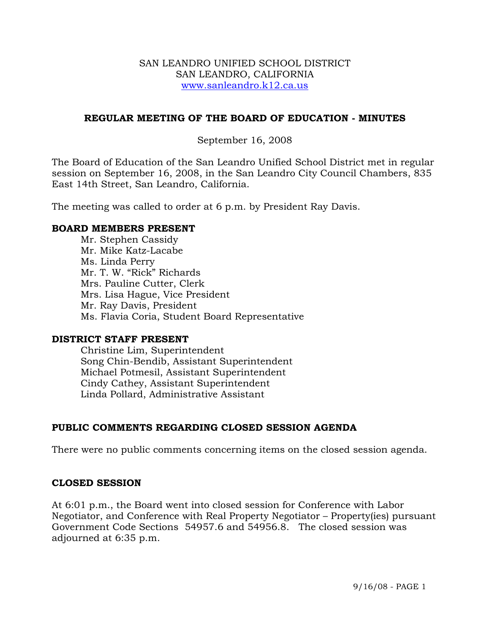#### SAN LEANDRO UNIFIED SCHOOL DISTRICT SAN LEANDRO, CALIFORNIA www.sanleandro.k12.ca.us

#### **REGULAR MEETING OF THE BOARD OF EDUCATION - MINUTES**

#### September 16, 2008

The Board of Education of the San Leandro Unified School District met in regular session on September 16, 2008, in the San Leandro City Council Chambers, 835 East 14th Street, San Leandro, California.

The meeting was called to order at 6 p.m. by President Ray Davis.

#### **BOARD MEMBERS PRESENT**

Mr. Stephen Cassidy Mr. Mike Katz-Lacabe Ms. Linda Perry Mr. T. W. "Rick" Richards Mrs. Pauline Cutter, Clerk Mrs. Lisa Hague, Vice President Mr. Ray Davis, President Ms. Flavia Coria, Student Board Representative

#### **DISTRICT STAFF PRESENT**

Christine Lim, Superintendent Song Chin-Bendib, Assistant Superintendent Michael Potmesil, Assistant Superintendent Cindy Cathey, Assistant Superintendent Linda Pollard, Administrative Assistant

# **PUBLIC COMMENTS REGARDING CLOSED SESSION AGENDA**

There were no public comments concerning items on the closed session agenda.

#### **CLOSED SESSION**

At 6:01 p.m., the Board went into closed session for Conference with Labor Negotiator, and Conference with Real Property Negotiator – Property(ies) pursuant Government Code Sections 54957.6 and 54956.8. The closed session was adjourned at 6:35 p.m.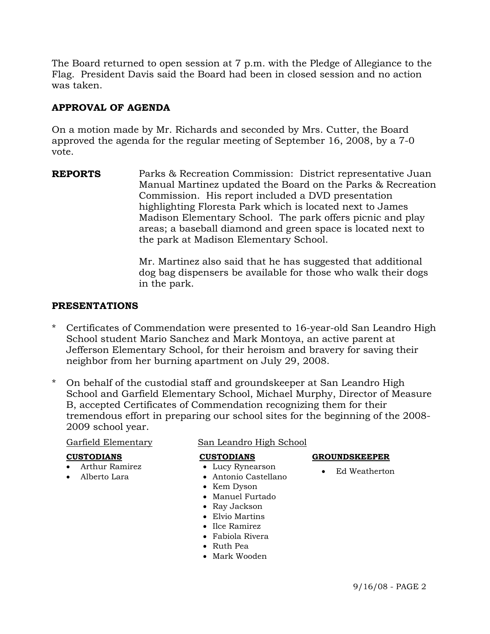The Board returned to open session at 7 p.m. with the Pledge of Allegiance to the Flag. President Davis said the Board had been in closed session and no action was taken.

# **APPROVAL OF AGENDA**

On a motion made by Mr. Richards and seconded by Mrs. Cutter, the Board approved the agenda for the regular meeting of September 16, 2008, by a 7-0 vote.

**REPORTS** Parks & Recreation Commission: District representative Juan Manual Martinez updated the Board on the Parks & Recreation Commission. His report included a DVD presentation highlighting Floresta Park which is located next to James Madison Elementary School. The park offers picnic and play areas; a baseball diamond and green space is located next to the park at Madison Elementary School.

> Mr. Martinez also said that he has suggested that additional dog bag dispensers be available for those who walk their dogs in the park.

# **PRESENTATIONS**

- \* Certificates of Commendation were presented to 16-year-old San Leandro High School student Mario Sanchez and Mark Montoya, an active parent at Jefferson Elementary School, for their heroism and bravery for saving their neighbor from her burning apartment on July 29, 2008.
- \* On behalf of the custodial staff and groundskeeper at San Leandro High School and Garfield Elementary School, Michael Murphy, Director of Measure B, accepted Certificates of Commendation recognizing them for their tremendous effort in preparing our school sites for the beginning of the 2008- 2009 school year.

#### Garfield Elementary San Leandro High School

#### **CUSTODIANS**

- Arthur Ramirez
- Alberto Lara

#### **GROUNDSKEEPER**

- Lucy Rynearson
	- Ed Weatherton
- Antonio Castellano • Kem Dyson

 **CUSTODIANS**

- Manuel Furtado
- Ray Jackson
- Elvio Martins
- Ilce Ramirez
- Fabiola Rivera
- Ruth Pea
- Mark Wooden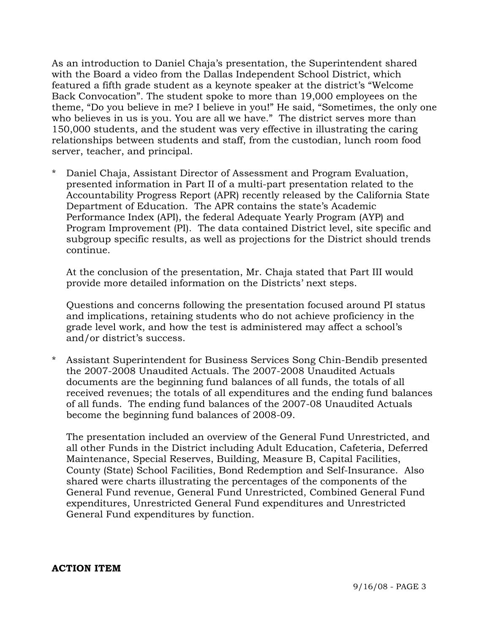As an introduction to Daniel Chaja's presentation, the Superintendent shared with the Board a video from the Dallas Independent School District, which featured a fifth grade student as a keynote speaker at the district's "Welcome Back Convocation". The student spoke to more than 19,000 employees on the theme, "Do you believe in me? I believe in you!" He said, "Sometimes, the only one who believes in us is you. You are all we have." The district serves more than 150,000 students, and the student was very effective in illustrating the caring relationships between students and staff, from the custodian, lunch room food server, teacher, and principal.

\* Daniel Chaja, Assistant Director of Assessment and Program Evaluation, presented information in Part II of a multi-part presentation related to the Accountability Progress Report (APR) recently released by the California State Department of Education. The APR contains the state's Academic Performance Index (API), the federal Adequate Yearly Program (AYP) and Program Improvement (PI). The data contained District level, site specific and subgroup specific results, as well as projections for the District should trends continue.

 At the conclusion of the presentation, Mr. Chaja stated that Part III would provide more detailed information on the Districts' next steps.

 Questions and concerns following the presentation focused around PI status and implications, retaining students who do not achieve proficiency in the grade level work, and how the test is administered may affect a school's and/or district's success.

\* Assistant Superintendent for Business Services Song Chin-Bendib presented the 2007-2008 Unaudited Actuals. The 2007-2008 Unaudited Actuals documents are the beginning fund balances of all funds, the totals of all received revenues; the totals of all expenditures and the ending fund balances of all funds. The ending fund balances of the 2007-08 Unaudited Actuals become the beginning fund balances of 2008-09.

 The presentation included an overview of the General Fund Unrestricted, and all other Funds in the District including Adult Education, Cafeteria, Deferred Maintenance, Special Reserves, Building, Measure B, Capital Facilities, County (State) School Facilities, Bond Redemption and Self-Insurance. Also shared were charts illustrating the percentages of the components of the General Fund revenue, General Fund Unrestricted, Combined General Fund expenditures, Unrestricted General Fund expenditures and Unrestricted General Fund expenditures by function.

#### **ACTION ITEM**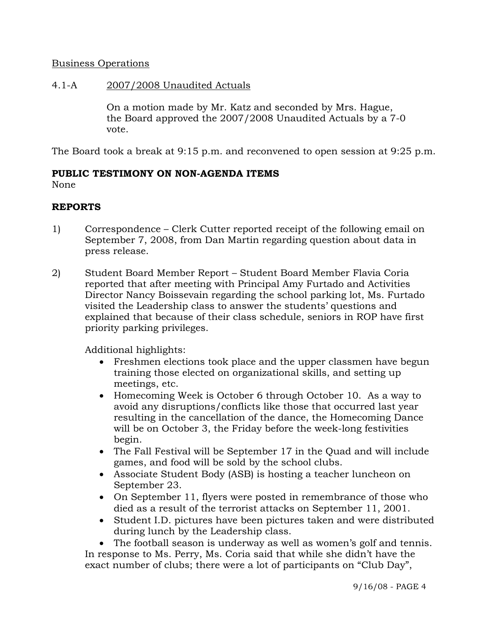# Business Operations

#### 4.1-A 2007/2008 Unaudited Actuals

On a motion made by Mr. Katz and seconded by Mrs. Hague, the Board approved the 2007/2008 Unaudited Actuals by a 7-0 vote.

The Board took a break at 9:15 p.m. and reconvened to open session at 9:25 p.m.

#### **PUBLIC TESTIMONY ON NON-AGENDA ITEMS** None

# **REPORTS**

- 1) Correspondence Clerk Cutter reported receipt of the following email on September 7, 2008, from Dan Martin regarding question about data in press release.
- 2) Student Board Member Report Student Board Member Flavia Coria reported that after meeting with Principal Amy Furtado and Activities Director Nancy Boissevain regarding the school parking lot, Ms. Furtado visited the Leadership class to answer the students' questions and explained that because of their class schedule, seniors in ROP have first priority parking privileges.

Additional highlights:

- Freshmen elections took place and the upper classmen have begun training those elected on organizational skills, and setting up meetings, etc.
- Homecoming Week is October 6 through October 10. As a way to avoid any disruptions/conflicts like those that occurred last year resulting in the cancellation of the dance, the Homecoming Dance will be on October 3, the Friday before the week-long festivities begin.
- The Fall Festival will be September 17 in the Quad and will include games, and food will be sold by the school clubs.
- Associate Student Body (ASB) is hosting a teacher luncheon on September 23.
- On September 11, flyers were posted in remembrance of those who died as a result of the terrorist attacks on September 11, 2001.
- Student I.D. pictures have been pictures taken and were distributed during lunch by the Leadership class.

• The football season is underway as well as women's golf and tennis. In response to Ms. Perry, Ms. Coria said that while she didn't have the exact number of clubs; there were a lot of participants on "Club Day",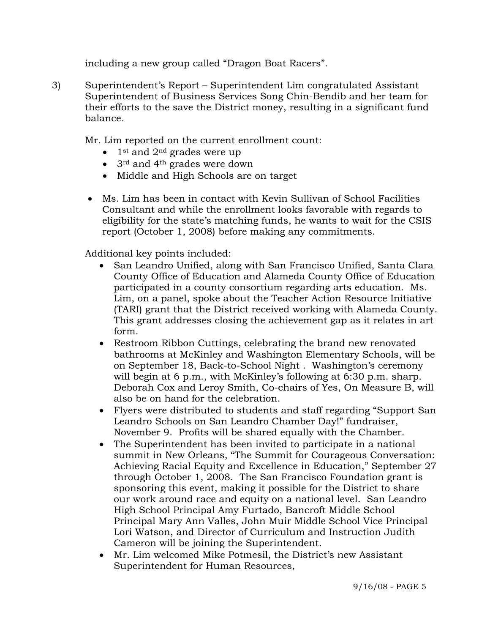including a new group called "Dragon Boat Racers".

3) Superintendent's Report – Superintendent Lim congratulated Assistant Superintendent of Business Services Song Chin-Bendib and her team for their efforts to the save the District money, resulting in a significant fund balance.

Mr. Lim reported on the current enrollment count:

- $1$ <sup>st</sup> and  $2<sup>nd</sup>$  grades were up
- 3<sup>rd</sup> and 4<sup>th</sup> grades were down
- Middle and High Schools are on target
- Ms. Lim has been in contact with Kevin Sullivan of School Facilities Consultant and while the enrollment looks favorable with regards to eligibility for the state's matching funds, he wants to wait for the CSIS report (October 1, 2008) before making any commitments.

Additional key points included:

- San Leandro Unified, along with San Francisco Unified, Santa Clara County Office of Education and Alameda County Office of Education participated in a county consortium regarding arts education. Ms. Lim, on a panel, spoke about the Teacher Action Resource Initiative (TARI) grant that the District received working with Alameda County. This grant addresses closing the achievement gap as it relates in art form.
- Restroom Ribbon Cuttings, celebrating the brand new renovated bathrooms at McKinley and Washington Elementary Schools, will be on September 18, Back-to-School Night . Washington's ceremony will begin at 6 p.m., with McKinley's following at 6:30 p.m. sharp. Deborah Cox and Leroy Smith, Co-chairs of Yes, On Measure B, will also be on hand for the celebration.
- Flyers were distributed to students and staff regarding "Support San Leandro Schools on San Leandro Chamber Day!" fundraiser, November 9. Profits will be shared equally with the Chamber.
- The Superintendent has been invited to participate in a national summit in New Orleans, "The Summit for Courageous Conversation: Achieving Racial Equity and Excellence in Education," September 27 through October 1, 2008. The San Francisco Foundation grant is sponsoring this event, making it possible for the District to share our work around race and equity on a national level. San Leandro High School Principal Amy Furtado, Bancroft Middle School Principal Mary Ann Valles, John Muir Middle School Vice Principal Lori Watson, and Director of Curriculum and Instruction Judith Cameron will be joining the Superintendent.
- Mr. Lim welcomed Mike Potmesil, the District's new Assistant Superintendent for Human Resources,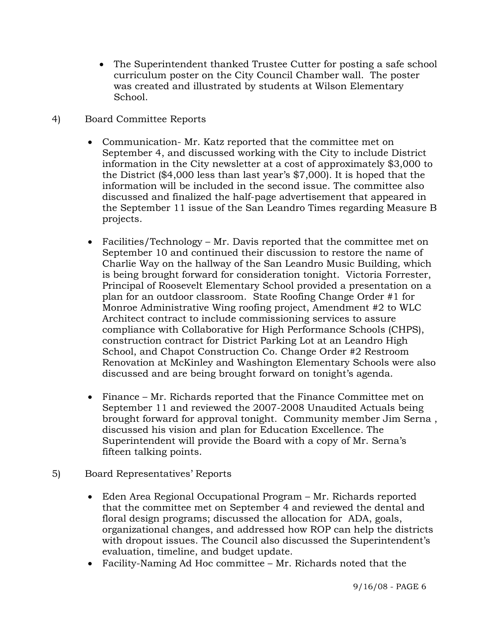- The Superintendent thanked Trustee Cutter for posting a safe school curriculum poster on the City Council Chamber wall. The poster was created and illustrated by students at Wilson Elementary School.
- 4) Board Committee Reports
	- Communication- Mr. Katz reported that the committee met on September 4, and discussed working with the City to include District information in the City newsletter at a cost of approximately \$3,000 to the District (\$4,000 less than last year's \$7,000). It is hoped that the information will be included in the second issue. The committee also discussed and finalized the half-page advertisement that appeared in the September 11 issue of the San Leandro Times regarding Measure B projects.
	- Facilities/Technology Mr. Davis reported that the committee met on September 10 and continued their discussion to restore the name of Charlie Way on the hallway of the San Leandro Music Building, which is being brought forward for consideration tonight. Victoria Forrester, Principal of Roosevelt Elementary School provided a presentation on a plan for an outdoor classroom. State Roofing Change Order #1 for Monroe Administrative Wing roofing project, Amendment #2 to WLC Architect contract to include commissioning services to assure compliance with Collaborative for High Performance Schools (CHPS), construction contract for District Parking Lot at an Leandro High School, and Chapot Construction Co. Change Order #2 Restroom Renovation at McKinley and Washington Elementary Schools were also discussed and are being brought forward on tonight's agenda.
	- Finance Mr. Richards reported that the Finance Committee met on September 11 and reviewed the 2007-2008 Unaudited Actuals being brought forward for approval tonight. Community member Jim Serna , discussed his vision and plan for Education Excellence. The Superintendent will provide the Board with a copy of Mr. Serna's fifteen talking points.
- 5) Board Representatives' Reports
	- Eden Area Regional Occupational Program Mr. Richards reported that the committee met on September 4 and reviewed the dental and floral design programs; discussed the allocation for ADA, goals, organizational changes, and addressed how ROP can help the districts with dropout issues. The Council also discussed the Superintendent's evaluation, timeline, and budget update.
	- Facility-Naming Ad Hoc committee Mr. Richards noted that the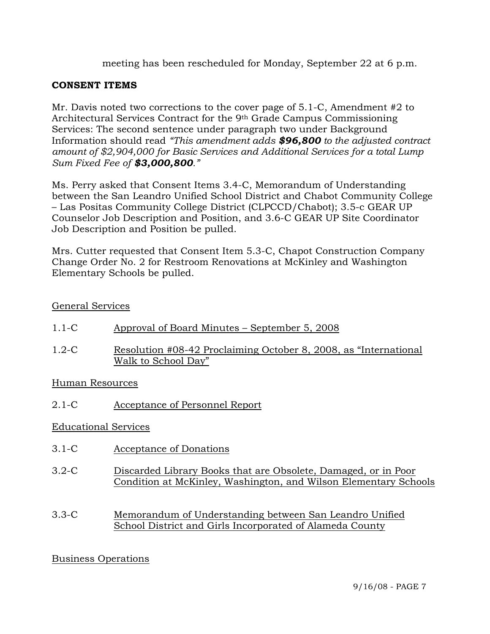meeting has been rescheduled for Monday, September 22 at 6 p.m.

# **CONSENT ITEMS**

Mr. Davis noted two corrections to the cover page of 5.1-C, Amendment #2 to Architectural Services Contract for the 9th Grade Campus Commissioning Services: The second sentence under paragraph two under Background Information should read *"This amendment adds \$96,800 to the adjusted contract amount of \$2,904,000 for Basic Services and Additional Services for a total Lump Sum Fixed Fee of \$3,000,800."* 

Ms. Perry asked that Consent Items 3.4-C, Memorandum of Understanding between the San Leandro Unified School District and Chabot Community College – Las Positas Community College District (CLPCCD/Chabot); 3.5-c GEAR UP Counselor Job Description and Position, and 3.6-C GEAR UP Site Coordinator Job Description and Position be pulled.

Mrs. Cutter requested that Consent Item 5.3-C, Chapot Construction Company Change Order No. 2 for Restroom Renovations at McKinley and Washington Elementary Schools be pulled.

# General Services

- 1.1-C Approval of Board Minutes September 5, 2008
- 1.2-C Resolution #08-42 Proclaiming October 8, 2008, as "International Walk to School Day"

# Human Resources

2.1-C Acceptance of Personnel Report

# Educational Services

- 3.1-C Acceptance of Donations
- 3.2-C Discarded Library Books that are Obsolete, Damaged, or in Poor Condition at McKinley, Washington, and Wilson Elementary Schools
- 3.3-C Memorandum of Understanding between San Leandro Unified School District and Girls Incorporated of Alameda County

# Business Operations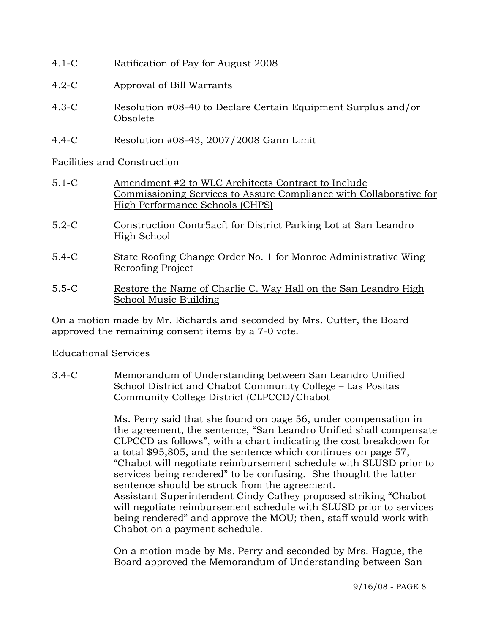- 4.1-C Ratification of Pay for August 2008
- 4.2-C Approval of Bill Warrants
- 4.3-C Resolution #08-40 to Declare Certain Equipment Surplus and/or Obsolete
- 4.4-C Resolution #08-43, 2007/2008 Gann Limit

Facilities and Construction

- 5.1-C Amendment #2 to WLC Architects Contract to Include Commissioning Services to Assure Compliance with Collaborative for High Performance Schools (CHPS)
- 5.2-C Construction Contr5acft for District Parking Lot at San Leandro High School
- 5.4-C State Roofing Change Order No. 1 for Monroe Administrative Wing Reroofing Project
- 5.5-C Restore the Name of Charlie C. Way Hall on the San Leandro High School Music Building

On a motion made by Mr. Richards and seconded by Mrs. Cutter, the Board approved the remaining consent items by a 7-0 vote.

# Educational Services

3.4-C Memorandum of Understanding between San Leandro Unified School District and Chabot Community College – Las Positas Community College District (CLPCCD/Chabot

> Ms. Perry said that she found on page 56, under compensation in the agreement, the sentence, "San Leandro Unified shall compensate CLPCCD as follows", with a chart indicating the cost breakdown for a total \$95,805, and the sentence which continues on page 57, "Chabot will negotiate reimbursement schedule with SLUSD prior to services being rendered" to be confusing. She thought the latter sentence should be struck from the agreement. Assistant Superintendent Cindy Cathey proposed striking "Chabot will negotiate reimbursement schedule with SLUSD prior to services being rendered" and approve the MOU; then, staff would work with Chabot on a payment schedule.

On a motion made by Ms. Perry and seconded by Mrs. Hague, the Board approved the Memorandum of Understanding between San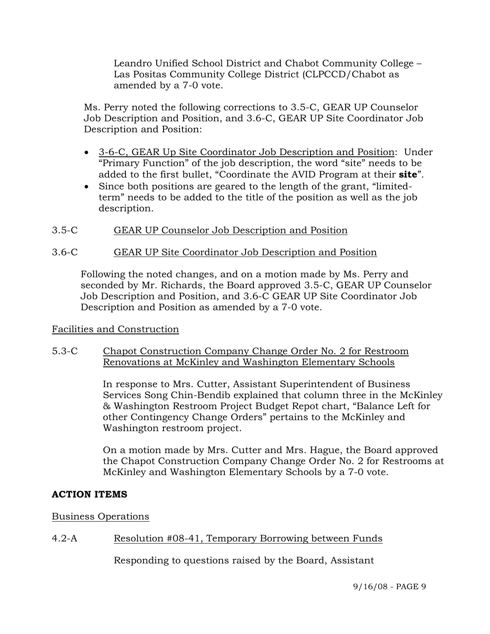Leandro Unified School District and Chabot Community College – Las Positas Community College District (CLPCCD/Chabot as amended by a 7-0 vote.

Ms. Perry noted the following corrections to 3.5-C, GEAR UP Counselor Job Description and Position, and 3.6-C, GEAR UP Site Coordinator Job Description and Position:

- 3-6-C, GEAR Up Site Coordinator Job Description and Position: Under "Primary Function" of the job description, the word "site" needs to be added to the first bullet, "Coordinate the AVID Program at their **site**".
- Since both positions are geared to the length of the grant, "limitedterm" needs to be added to the title of the position as well as the job description.
- 3.5-C GEAR UP Counselor Job Description and Position

# 3.6-C GEAR UP Site Coordinator Job Description and Position

Following the noted changes, and on a motion made by Ms. Perry and seconded by Mr. Richards, the Board approved 3.5-C, GEAR UP Counselor Job Description and Position, and 3.6-C GEAR UP Site Coordinator Job Description and Position as amended by a 7-0 vote.

# Facilities and Construction

# 5.3-C Chapot Construction Company Change Order No. 2 for Restroom Renovations at McKinley and Washington Elementary Schools

In response to Mrs. Cutter, Assistant Superintendent of Business Services Song Chin-Bendib explained that column three in the McKinley & Washington Restroom Project Budget Repot chart, "Balance Left for other Contingency Change Orders" pertains to the McKinley and Washington restroom project.

On a motion made by Mrs. Cutter and Mrs. Hague, the Board approved the Chapot Construction Company Change Order No. 2 for Restrooms at McKinley and Washington Elementary Schools by a 7-0 vote.

# **ACTION ITEMS**

# Business Operations

# 4.2-A Resolution #08-41, Temporary Borrowing between Funds

Responding to questions raised by the Board, Assistant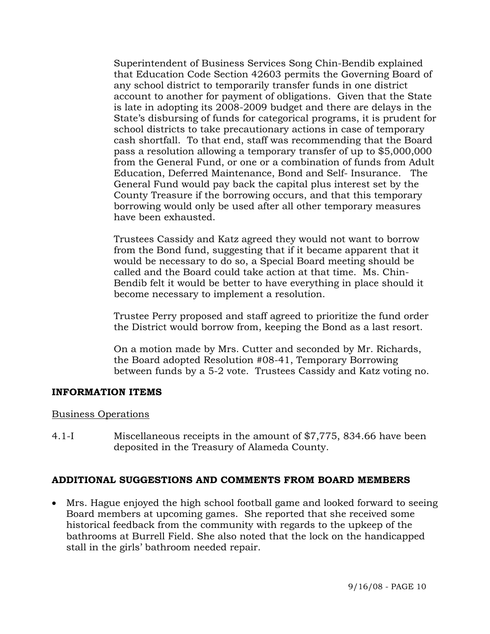Superintendent of Business Services Song Chin-Bendib explained that Education Code Section 42603 permits the Governing Board of any school district to temporarily transfer funds in one district account to another for payment of obligations. Given that the State is late in adopting its 2008-2009 budget and there are delays in the State's disbursing of funds for categorical programs, it is prudent for school districts to take precautionary actions in case of temporary cash shortfall. To that end, staff was recommending that the Board pass a resolution allowing a temporary transfer of up to \$5,000,000 from the General Fund, or one or a combination of funds from Adult Education, Deferred Maintenance, Bond and Self- Insurance. The General Fund would pay back the capital plus interest set by the County Treasure if the borrowing occurs, and that this temporary borrowing would only be used after all other temporary measures have been exhausted.

Trustees Cassidy and Katz agreed they would not want to borrow from the Bond fund, suggesting that if it became apparent that it would be necessary to do so, a Special Board meeting should be called and the Board could take action at that time. Ms. Chin-Bendib felt it would be better to have everything in place should it become necessary to implement a resolution.

Trustee Perry proposed and staff agreed to prioritize the fund order the District would borrow from, keeping the Bond as a last resort.

On a motion made by Mrs. Cutter and seconded by Mr. Richards, the Board adopted Resolution #08-41, Temporary Borrowing between funds by a 5-2 vote. Trustees Cassidy and Katz voting no.

#### **INFORMATION ITEMS**

#### Business Operations

4.1-I Miscellaneous receipts in the amount of \$7,775, 834.66 have been deposited in the Treasury of Alameda County.

# **ADDITIONAL SUGGESTIONS AND COMMENTS FROM BOARD MEMBERS**

• Mrs. Hague enjoyed the high school football game and looked forward to seeing Board members at upcoming games. She reported that she received some historical feedback from the community with regards to the upkeep of the bathrooms at Burrell Field. She also noted that the lock on the handicapped stall in the girls' bathroom needed repair.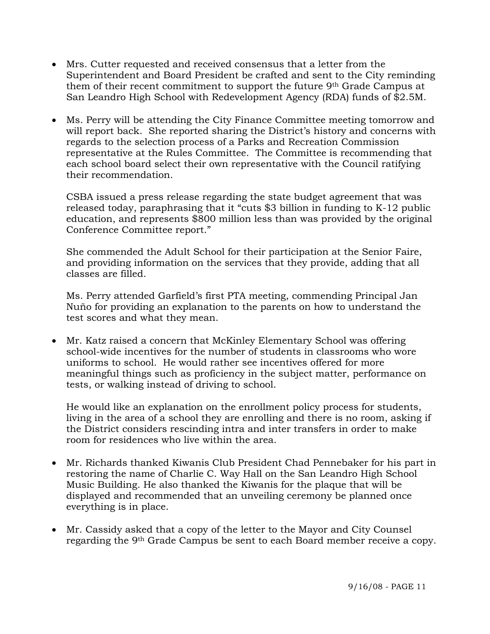- Mrs. Cutter requested and received consensus that a letter from the Superintendent and Board President be crafted and sent to the City reminding them of their recent commitment to support the future 9th Grade Campus at San Leandro High School with Redevelopment Agency (RDA) funds of \$2.5M.
- Ms. Perry will be attending the City Finance Committee meeting tomorrow and will report back. She reported sharing the District's history and concerns with regards to the selection process of a Parks and Recreation Commission representative at the Rules Committee. The Committee is recommending that each school board select their own representative with the Council ratifying their recommendation.

CSBA issued a press release regarding the state budget agreement that was released today, paraphrasing that it "cuts \$3 billion in funding to K-12 public education, and represents \$800 million less than was provided by the original Conference Committee report."

She commended the Adult School for their participation at the Senior Faire, and providing information on the services that they provide, adding that all classes are filled.

Ms. Perry attended Garfield's first PTA meeting, commending Principal Jan Nuño for providing an explanation to the parents on how to understand the test scores and what they mean.

• Mr. Katz raised a concern that McKinley Elementary School was offering school-wide incentives for the number of students in classrooms who wore uniforms to school. He would rather see incentives offered for more meaningful things such as proficiency in the subject matter, performance on tests, or walking instead of driving to school.

He would like an explanation on the enrollment policy process for students, living in the area of a school they are enrolling and there is no room, asking if the District considers rescinding intra and inter transfers in order to make room for residences who live within the area.

- Mr. Richards thanked Kiwanis Club President Chad Pennebaker for his part in restoring the name of Charlie C. Way Hall on the San Leandro High School Music Building. He also thanked the Kiwanis for the plaque that will be displayed and recommended that an unveiling ceremony be planned once everything is in place.
- Mr. Cassidy asked that a copy of the letter to the Mayor and City Counsel regarding the 9th Grade Campus be sent to each Board member receive a copy.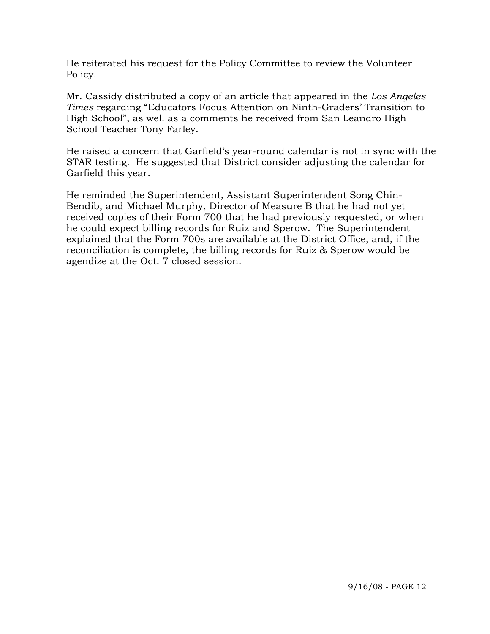He reiterated his request for the Policy Committee to review the Volunteer Policy.

Mr. Cassidy distributed a copy of an article that appeared in the *Los Angeles Times* regarding "Educators Focus Attention on Ninth-Graders' Transition to High School", as well as a comments he received from San Leandro High School Teacher Tony Farley.

He raised a concern that Garfield's year-round calendar is not in sync with the STAR testing. He suggested that District consider adjusting the calendar for Garfield this year.

He reminded the Superintendent, Assistant Superintendent Song Chin-Bendib, and Michael Murphy, Director of Measure B that he had not yet received copies of their Form 700 that he had previously requested, or when he could expect billing records for Ruiz and Sperow. The Superintendent explained that the Form 700s are available at the District Office, and, if the reconciliation is complete, the billing records for Ruiz & Sperow would be agendize at the Oct. 7 closed session.